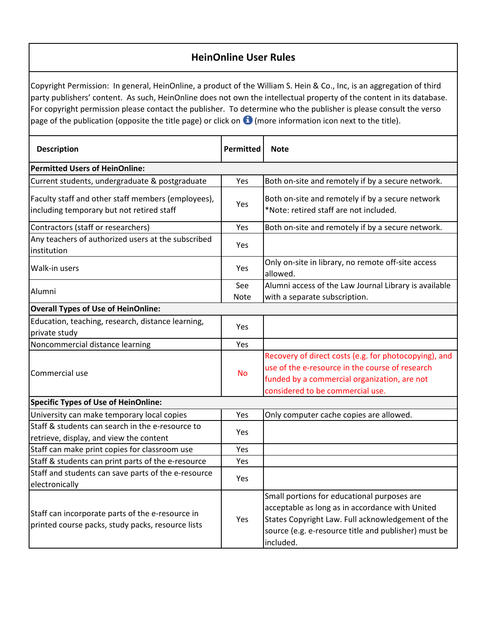## **HeinOnline User Rules**

Copyright Permission: In general, HeinOnline, a product of the William S. Hein & Co., Inc, is an aggregation of third party publishers' content. As such, HeinOnline does not own the intellectual property of the content in its database. For copyright permission please contact the publisher. To determine who the publisher is please consult the verso page of the publication (opposite the title page) or click on  $\bigoplus$  (more information icon next to the title).

| <b>Description</b>                                                                                    | <b>Permitted</b> | <b>Note</b>                                                                                                                                                                                                              |  |  |
|-------------------------------------------------------------------------------------------------------|------------------|--------------------------------------------------------------------------------------------------------------------------------------------------------------------------------------------------------------------------|--|--|
| <b>Permitted Users of HeinOnline:</b>                                                                 |                  |                                                                                                                                                                                                                          |  |  |
| Current students, undergraduate & postgraduate                                                        | Yes              | Both on-site and remotely if by a secure network.                                                                                                                                                                        |  |  |
| Faculty staff and other staff members (employees),<br>including temporary but not retired staff       | Yes              | Both on-site and remotely if by a secure network<br>*Note: retired staff are not included.                                                                                                                               |  |  |
| Contractors (staff or researchers)                                                                    | Yes              | Both on-site and remotely if by a secure network.                                                                                                                                                                        |  |  |
| Any teachers of authorized users at the subscribed<br>institution                                     | Yes              |                                                                                                                                                                                                                          |  |  |
| Walk-in users                                                                                         | <b>Yes</b>       | Only on-site in library, no remote off-site access<br>allowed.                                                                                                                                                           |  |  |
| Alumni                                                                                                | See              | Alumni access of the Law Journal Library is available                                                                                                                                                                    |  |  |
|                                                                                                       | Note             | with a separate subscription.                                                                                                                                                                                            |  |  |
| <b>Overall Types of Use of HeinOnline:</b>                                                            |                  |                                                                                                                                                                                                                          |  |  |
| Education, teaching, research, distance learning,                                                     | Yes              |                                                                                                                                                                                                                          |  |  |
| private study                                                                                         |                  |                                                                                                                                                                                                                          |  |  |
| Noncommercial distance learning                                                                       | Yes              |                                                                                                                                                                                                                          |  |  |
| Commercial use                                                                                        | <b>No</b>        | Recovery of direct costs (e.g. for photocopying), and<br>use of the e-resource in the course of research<br>funded by a commercial organization, are not<br>considered to be commercial use.                             |  |  |
| <b>Specific Types of Use of HeinOnline:</b>                                                           |                  |                                                                                                                                                                                                                          |  |  |
| University can make temporary local copies                                                            | Yes              | Only computer cache copies are allowed.                                                                                                                                                                                  |  |  |
| Staff & students can search in the e-resource to<br>retrieve, display, and view the content           | <b>Yes</b>       |                                                                                                                                                                                                                          |  |  |
| Staff can make print copies for classroom use                                                         | Yes              |                                                                                                                                                                                                                          |  |  |
| Staff & students can print parts of the e-resource                                                    | Yes              |                                                                                                                                                                                                                          |  |  |
| Staff and students can save parts of the e-resource<br>electronically                                 | Yes              |                                                                                                                                                                                                                          |  |  |
| Staff can incorporate parts of the e-resource in<br>printed course packs, study packs, resource lists | Yes              | Small portions for educational purposes are<br>acceptable as long as in accordance with United<br>States Copyright Law. Full acknowledgement of the<br>source (e.g. e-resource title and publisher) must be<br>included. |  |  |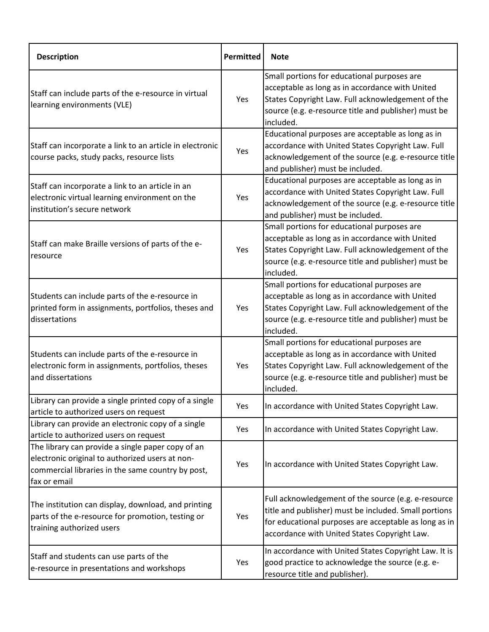| <b>Description</b>                                                                                                                                                        | Permitted | <b>Note</b>                                                                                                                                                                                                              |
|---------------------------------------------------------------------------------------------------------------------------------------------------------------------------|-----------|--------------------------------------------------------------------------------------------------------------------------------------------------------------------------------------------------------------------------|
| Staff can include parts of the e-resource in virtual<br>learning environments (VLE)                                                                                       | Yes       | Small portions for educational purposes are<br>acceptable as long as in accordance with United<br>States Copyright Law. Full acknowledgement of the<br>source (e.g. e-resource title and publisher) must be<br>included. |
| Staff can incorporate a link to an article in electronic<br>course packs, study packs, resource lists                                                                     | Yes       | Educational purposes are acceptable as long as in<br>accordance with United States Copyright Law. Full<br>acknowledgement of the source (e.g. e-resource title<br>and publisher) must be included.                       |
| Staff can incorporate a link to an article in an<br>electronic virtual learning environment on the<br>institution's secure network                                        | Yes       | Educational purposes are acceptable as long as in<br>accordance with United States Copyright Law. Full<br>acknowledgement of the source (e.g. e-resource title<br>and publisher) must be included.                       |
| Staff can make Braille versions of parts of the e-<br>resource                                                                                                            | Yes       | Small portions for educational purposes are<br>acceptable as long as in accordance with United<br>States Copyright Law. Full acknowledgement of the<br>source (e.g. e-resource title and publisher) must be<br>included. |
| Students can include parts of the e-resource in<br>printed form in assignments, portfolios, theses and<br>dissertations                                                   | Yes       | Small portions for educational purposes are<br>acceptable as long as in accordance with United<br>States Copyright Law. Full acknowledgement of the<br>source (e.g. e-resource title and publisher) must be<br>included. |
| Students can include parts of the e-resource in<br>electronic form in assignments, portfolios, theses<br>and dissertations                                                | Yes       | Small portions for educational purposes are<br>acceptable as long as in accordance with United<br>States Copyright Law. Full acknowledgement of the<br>source (e.g. e-resource title and publisher) must be<br>included. |
| Library can provide a single printed copy of a single<br>article to authorized users on request                                                                           | Yes       | In accordance with United States Copyright Law.                                                                                                                                                                          |
| Library can provide an electronic copy of a single<br>article to authorized users on request                                                                              | Yes       | In accordance with United States Copyright Law.                                                                                                                                                                          |
| The library can provide a single paper copy of an<br>electronic original to authorized users at non-<br>commercial libraries in the same country by post,<br>fax or email | Yes       | In accordance with United States Copyright Law.                                                                                                                                                                          |
| The institution can display, download, and printing<br>parts of the e-resource for promotion, testing or<br>training authorized users                                     | Yes       | Full acknowledgement of the source (e.g. e-resource<br>title and publisher) must be included. Small portions<br>for educational purposes are acceptable as long as in<br>accordance with United States Copyright Law.    |
| Staff and students can use parts of the<br>e-resource in presentations and workshops                                                                                      | Yes       | In accordance with United States Copyright Law. It is<br>good practice to acknowledge the source (e.g. e-<br>resource title and publisher).                                                                              |